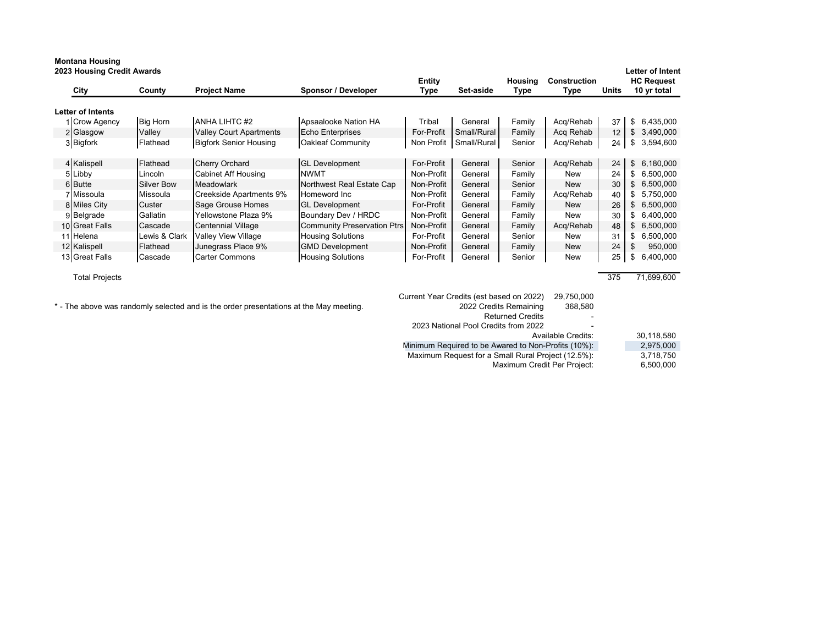| <b>Montana Housing</b><br>2023 Housing Credit Awards<br>Letter of Intent |                   |                                |                             |                |             |                 |                             |       |                                  |  |
|--------------------------------------------------------------------------|-------------------|--------------------------------|-----------------------------|----------------|-------------|-----------------|-----------------------------|-------|----------------------------------|--|
| City                                                                     | County            | <b>Project Name</b>            | Sponsor / Developer         | Entity<br>Type | Set-aside   | Housing<br>Type | <b>Construction</b><br>Type | Units | <b>HC Request</b><br>10 yr total |  |
| Letter of Intents                                                        |                   |                                |                             |                |             |                 |                             |       |                                  |  |
| 1 Crow Agency                                                            | <b>Big Horn</b>   | ANHA LIHTC #2                  | Apsaalooke Nation HA        | Tribal         | General     | Family          | Acq/Rehab                   | 37    | \$6,435,000                      |  |
| 2 Glasgow                                                                | Valley            | <b>Valley Court Apartments</b> | <b>Echo Enterprises</b>     | For-Profit     | Small/Rural | Family          | Acq Rehab                   | 12    | \$3,490,000                      |  |
| 3 Bigfork                                                                | Flathead          | <b>Bigfork Senior Housing</b>  | <b>Oakleaf Community</b>    | Non Profit     | Small/Rural | Senior          | Acq/Rehab                   | 24    | \$<br>3,594,600                  |  |
| 4 Kalispell                                                              | Flathead          | <b>Cherry Orchard</b>          | <b>GL Development</b>       | For-Profit     | General     | Senior          | Acq/Rehab                   | 24    | \$6,180,000                      |  |
| 5 Libby                                                                  | Lincoln           | Cabinet Aff Housing            | <b>NWMT</b>                 | Non-Profit     | General     | Family          | New                         | 24    | \$6,500,000                      |  |
| 6 Butte                                                                  | <b>Silver Bow</b> | <b>Meadowlark</b>              | Northwest Real Estate Cap   | Non-Profit     | General     | Senior          | <b>New</b>                  | 30    | \$6,500,000                      |  |
| 7 Missoula                                                               | Missoula          | <b>Creekside Apartments 9%</b> | Homeword Inc                | Non-Profit     | General     | Family          | Acq/Rehab                   | 40    | \$5,750,000                      |  |
| 8 Miles City                                                             | Custer            | Sage Grouse Homes              | <b>GL Development</b>       | For-Profit     | General     | Family          | <b>New</b>                  | 26    | \$6,500,000                      |  |
| 9 Belgrade                                                               | Gallatin          | Yellowstone Plaza 9%           | Boundary Dev / HRDC         | Non-Profit     | General     | Family          | <b>New</b>                  | 30    | \$6,400,000                      |  |
| 10 Great Falls                                                           | Cascade           | <b>Centennial Village</b>      | Community Preservation Ptrs | Non-Profit     | General     | Family          | Acq/Rehab                   | 48    | \$6,500,000                      |  |
| 11 Helena                                                                | Lewis & Clark     | <b>Valley View Village</b>     | <b>Housing Solutions</b>    | For-Profit     | General     | Senior          | New                         | 31    | \$6,500,000                      |  |
| 12 Kalispell                                                             | Flathead          | Junegrass Place 9%             | <b>GMD Development</b>      | Non-Profit     | General     | Family          | <b>New</b>                  | 24    | \$<br>950,000                    |  |
| 13 Great Falls                                                           | Cascade           | <b>Carter Commons</b>          | <b>Housing Solutions</b>    | For-Profit     | General     | Senior          | New                         | 25    | 6,400,000<br>\$                  |  |

Total Projects 375 71,699,600

|            | 29,750,000                                          | Current Year Credits (est based on 2022)           |  |  |  |  |
|------------|-----------------------------------------------------|----------------------------------------------------|--|--|--|--|
|            | 368,580                                             | 2022 Credits Remaining                             |  |  |  |  |
|            |                                                     | <b>Returned Credits</b>                            |  |  |  |  |
|            |                                                     | 2023 National Pool Credits from 2022               |  |  |  |  |
| 30.118.580 |                                                     | Available Credits:                                 |  |  |  |  |
| 2,975,000  | Minimum Required to be Awared to Non-Profits (10%): |                                                    |  |  |  |  |
| 3,718,750  |                                                     | Maximum Request for a Small Rural Project (12.5%): |  |  |  |  |
| 6,500,000  |                                                     | Maximum Credit Per Project:                        |  |  |  |  |
|            |                                                     |                                                    |  |  |  |  |

\* - The above was randomly selected and is the order presentations at the May meeting.